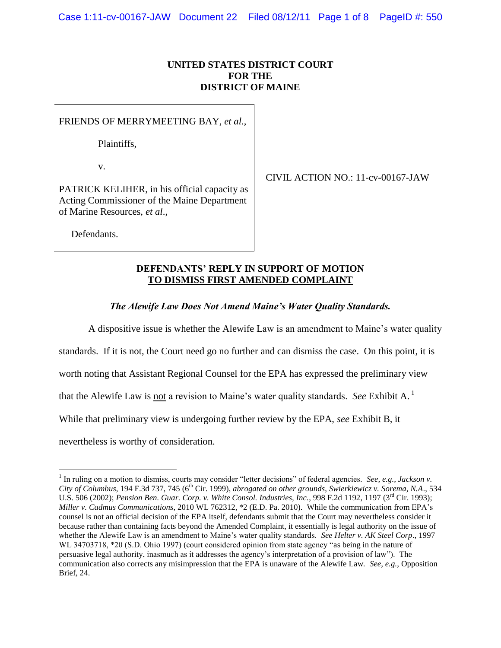# **UNITED STATES DISTRICT COURT FOR THE DISTRICT OF MAINE**

FRIENDS OF MERRYMEETING BAY, *et al.*,

Plaintiffs,

v.

PATRICK KELIHER, in his official capacity as Acting Commissioner of the Maine Department of Marine Resources, *et al*.,

CIVIL ACTION NO.: 11-cv-00167-JAW

Defendants.

 $\overline{a}$ 

## **DEFENDANTS' REPLY IN SUPPORT OF MOTION TO DISMISS FIRST AMENDED COMPLAINT**

*The Alewife Law Does Not Amend Maine's Water Quality Standards.*

A dispositive issue is whether the Alewife Law is an amendment to Maine"s water quality

standards. If it is not, the Court need go no further and can dismiss the case. On this point, it is

worth noting that Assistant Regional Counsel for the EPA has expressed the preliminary view

that the Alewife Law is not a revision to Maine"s water quality standards. *See* Exhibit A. <sup>1</sup>

While that preliminary view is undergoing further review by the EPA, *see* Exhibit B, it

nevertheless is worthy of consideration.

<sup>&</sup>lt;sup>1</sup> In ruling on a motion to dismiss, courts may consider "letter decisions" of federal agencies. *See, e.g., Jackson v. City of Columbus*, 194 F.3d 737, 745 (6th Cir. 1999), *abrogated on other grounds*, *Swierkiewicz v. Sorema, N.A*., 534 U.S. 506 (2002); *Pension Ben. Guar. Corp. v. White Consol. Industries, Inc.*, 998 F.2d 1192, 1197 (3rd Cir. 1993); *Miller v. Cadmus Communications*, 2010 WL 762312, \*2 (E.D. Pa. 2010). While the communication from EPA"s counsel is not an official decision of the EPA itself, defendants submit that the Court may nevertheless consider it because rather than containing facts beyond the Amended Complaint, it essentially is legal authority on the issue of whether the Alewife Law is an amendment to Maine"s water quality standards. *See Helter v. AK Steel Corp*., 1997 WL 34703718, \*20 (S.D. Ohio 1997) (court considered opinion from state agency "as being in the nature of persuasive legal authority, inasmuch as it addresses the agency"s interpretation of a provision of law"). The communication also corrects any misimpression that the EPA is unaware of the Alewife Law. *See, e.g.,* Opposition Brief, 24.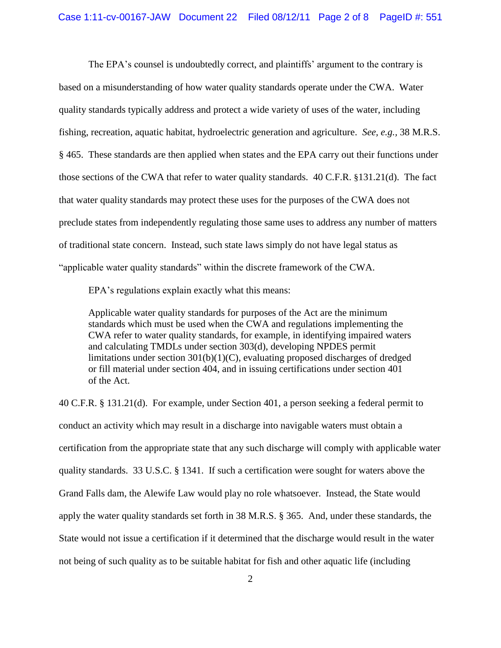The EPA's counsel is undoubtedly correct, and plaintiffs' argument to the contrary is based on a misunderstanding of how water quality standards operate under the CWA. Water quality standards typically address and protect a wide variety of uses of the water, including fishing, recreation, aquatic habitat, hydroelectric generation and agriculture. *See, e.g.,* 38 M.R.S. § 465. These standards are then applied when states and the EPA carry out their functions under those sections of the CWA that refer to water quality standards. 40 C.F.R. §131.21(d). The fact that water quality standards may protect these uses for the purposes of the CWA does not preclude states from independently regulating those same uses to address any number of matters of traditional state concern. Instead, such state laws simply do not have legal status as "applicable water quality standards" within the discrete framework of the CWA.

EPA's regulations explain exactly what this means:

Applicable water quality standards for purposes of the Act are the minimum standards which must be used when the CWA and regulations implementing the CWA refer to water quality standards, for example, in identifying impaired waters and calculating TMDLs under section 303(d), developing NPDES permit limitations under section 301(b)(1)(C), evaluating proposed discharges of dredged or fill material under section 404, and in issuing certifications under section 401 of the Act.

40 C.F.R. § 131.21(d). For example, under Section 401, a person seeking a federal permit to conduct an activity which may result in a discharge into navigable waters must obtain a certification from the appropriate state that any such discharge will comply with applicable water quality standards. 33 U.S.C. § 1341. If such a certification were sought for waters above the Grand Falls dam, the Alewife Law would play no role whatsoever. Instead, the State would apply the water quality standards set forth in 38 M.R.S. § 365. And, under these standards, the State would not issue a certification if it determined that the discharge would result in the water not being of such quality as to be suitable habitat for fish and other aquatic life (including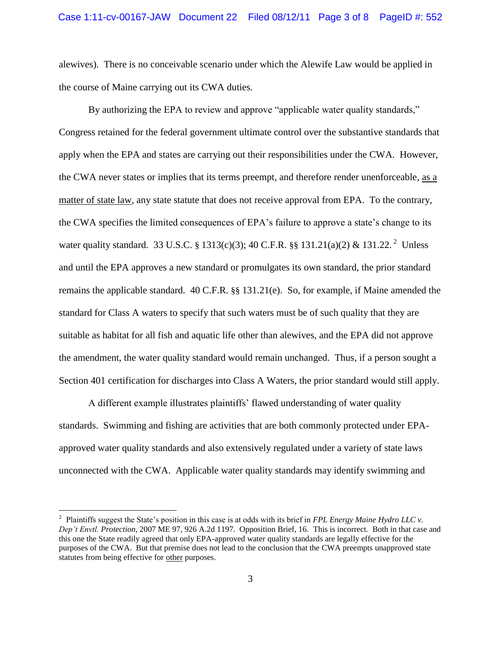alewives). There is no conceivable scenario under which the Alewife Law would be applied in the course of Maine carrying out its CWA duties.

By authorizing the EPA to review and approve "applicable water quality standards," Congress retained for the federal government ultimate control over the substantive standards that apply when the EPA and states are carrying out their responsibilities under the CWA. However, the CWA never states or implies that its terms preempt, and therefore render unenforceable, as a matter of state law, any state statute that does not receive approval from EPA. To the contrary, the CWA specifies the limited consequences of EPA"s failure to approve a state"s change to its water quality standard. 33 U.S.C. § 1313(c)(3); 40 C.F.R. §§ 131.21(a)(2) & 131.22.<sup>2</sup> Unless and until the EPA approves a new standard or promulgates its own standard, the prior standard remains the applicable standard. 40 C.F.R. §§ 131.21(e). So, for example, if Maine amended the standard for Class A waters to specify that such waters must be of such quality that they are suitable as habitat for all fish and aquatic life other than alewives, and the EPA did not approve the amendment, the water quality standard would remain unchanged. Thus, if a person sought a Section 401 certification for discharges into Class A Waters, the prior standard would still apply.

A different example illustrates plaintiffs" flawed understanding of water quality standards. Swimming and fishing are activities that are both commonly protected under EPAapproved water quality standards and also extensively regulated under a variety of state laws unconnected with the CWA. Applicable water quality standards may identify swimming and

<sup>&</sup>lt;sup>2</sup> Plaintiffs suggest the State's position in this case is at odds with its brief in *FPL Energy Maine Hydro LLC v*. *Dep't Envtl. Protection*, 2007 ME 97, 926 A.2d 1197. Opposition Brief, 16. This is incorrect. Both in that case and this one the State readily agreed that only EPA-approved water quality standards are legally effective for the purposes of the CWA. But that premise does not lead to the conclusion that the CWA preempts unapproved state statutes from being effective for other purposes.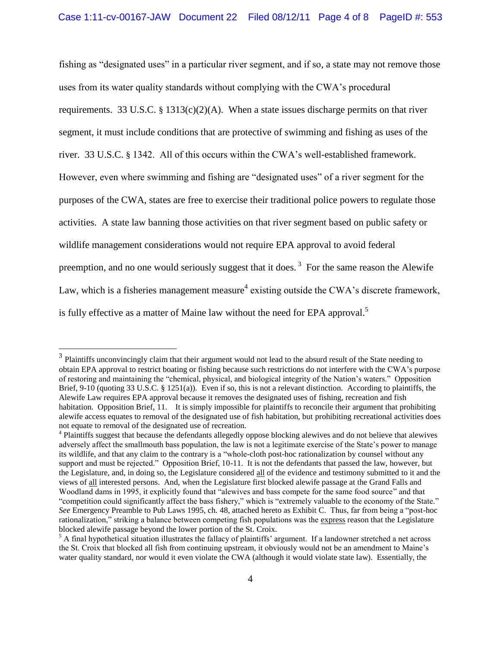fishing as "designated uses" in a particular river segment, and if so, a state may not remove those uses from its water quality standards without complying with the CWA"s procedural requirements. 33 U.S.C. § 1313(c)(2)(A). When a state issues discharge permits on that river segment, it must include conditions that are protective of swimming and fishing as uses of the river. 33 U.S.C. § 1342. All of this occurs within the CWA"s well-established framework. However, even where swimming and fishing are "designated uses" of a river segment for the purposes of the CWA, states are free to exercise their traditional police powers to regulate those activities. A state law banning those activities on that river segment based on public safety or wildlife management considerations would not require EPA approval to avoid federal preemption, and no one would seriously suggest that it does.<sup>3</sup> For the same reason the Alewife Law, which is a fisheries management measure<sup>4</sup> existing outside the CWA's discrete framework, is fully effective as a matter of Maine law without the need for EPA approval.<sup>5</sup>

 $3$  Plaintiffs unconvincingly claim that their argument would not lead to the absurd result of the State needing to obtain EPA approval to restrict boating or fishing because such restrictions do not interfere with the CWA"s purpose of restoring and maintaining the "chemical, physical, and biological integrity of the Nation"s waters." Opposition Brief, 9-10 (quoting 33 U.S.C. § 1251(a)). Even if so, this is not a relevant distinction. According to plaintiffs, the Alewife Law requires EPA approval because it removes the designated uses of fishing, recreation and fish habitation. Opposition Brief, 11. It is simply impossible for plaintiffs to reconcile their argument that prohibiting alewife access equates to removal of the designated use of fish habitation, but prohibiting recreational activities does not equate to removal of the designated use of recreation.

<sup>&</sup>lt;sup>4</sup> Plaintiffs suggest that because the defendants allegedly oppose blocking alewives and do not believe that alewives adversely affect the smallmouth bass population, the law is not a legitimate exercise of the State"s power to manage its wildlife, and that any claim to the contrary is a "whole-cloth post-hoc rationalization by counsel without any support and must be rejected." Opposition Brief, 10-11. It is not the defendants that passed the law, however, but the Legislature, and, in doing so, the Legislature considered all of the evidence and testimony submitted to it and the views of all interested persons. And, when the Legislature first blocked alewife passage at the Grand Falls and Woodland dams in 1995, it explicitly found that "alewives and bass compete for the same food source" and that "competition could significantly affect the bass fishery," which is "extremely valuable to the economy of the State." *See* Emergency Preamble to Pub Laws 1995, ch. 48, attached hereto as Exhibit C. Thus, far from being a "post-hoc rationalization," striking a balance between competing fish populations was the express reason that the Legislature blocked alewife passage beyond the lower portion of the St. Croix.

 $<sup>5</sup>$  A final hypothetical situation illustrates the fallacy of plaintiffs' argument. If a landowner stretched a net across</sup> the St. Croix that blocked all fish from continuing upstream, it obviously would not be an amendment to Maine"s water quality standard, nor would it even violate the CWA (although it would violate state law). Essentially, the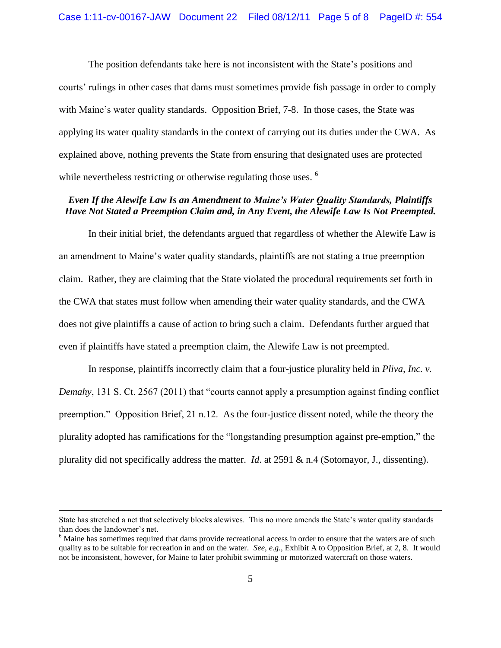The position defendants take here is not inconsistent with the State"s positions and courts" rulings in other cases that dams must sometimes provide fish passage in order to comply with Maine's water quality standards. Opposition Brief, 7-8. In those cases, the State was applying its water quality standards in the context of carrying out its duties under the CWA. As explained above, nothing prevents the State from ensuring that designated uses are protected while nevertheless restricting or otherwise regulating those uses. <sup>6</sup>

### *Even If the Alewife Law Is an Amendment to Maine's Water Quality Standards, Plaintiffs Have Not Stated a Preemption Claim and, in Any Event, the Alewife Law Is Not Preempted.*

In their initial brief, the defendants argued that regardless of whether the Alewife Law is an amendment to Maine"s water quality standards, plaintiffs are not stating a true preemption claim. Rather, they are claiming that the State violated the procedural requirements set forth in the CWA that states must follow when amending their water quality standards, and the CWA does not give plaintiffs a cause of action to bring such a claim. Defendants further argued that even if plaintiffs have stated a preemption claim, the Alewife Law is not preempted.

In response, plaintiffs incorrectly claim that a four-justice plurality held in *Pliva, Inc. v. Demahy*, 131 S. Ct. 2567 (2011) that "courts cannot apply a presumption against finding conflict preemption." Opposition Brief, 21 n.12. As the four-justice dissent noted, while the theory the plurality adopted has ramifications for the "longstanding presumption against pre-emption," the plurality did not specifically address the matter. *Id*. at 2591 & n.4 (Sotomayor, J., dissenting).

State has stretched a net that selectively blocks alewives. This no more amends the State"s water quality standards than does the landowner's net.

<sup>&</sup>lt;sup>6</sup> Maine has sometimes required that dams provide recreational access in order to ensure that the waters are of such quality as to be suitable for recreation in and on the water. *See, e.g.,* Exhibit A to Opposition Brief, at 2, 8. It would not be inconsistent, however, for Maine to later prohibit swimming or motorized watercraft on those waters.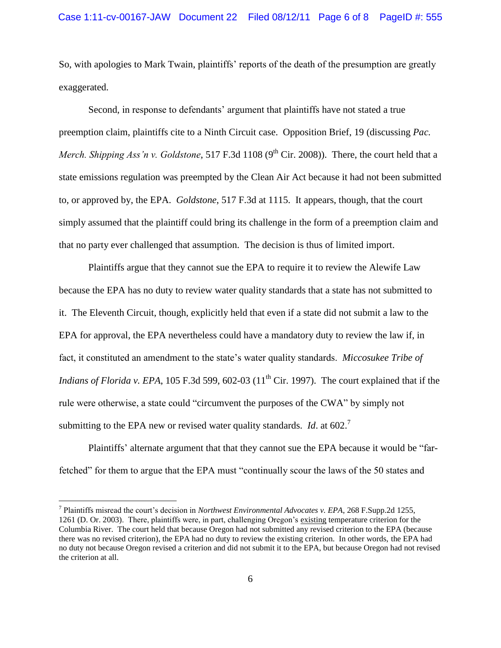So, with apologies to Mark Twain, plaintiffs" reports of the death of the presumption are greatly exaggerated.

Second, in response to defendants" argument that plaintiffs have not stated a true preemption claim, plaintiffs cite to a Ninth Circuit case. Opposition Brief, 19 (discussing *Pac. Merch. Shipping Ass'n v. Goldstone*, 517 F.3d 1108 (9<sup>th</sup> Cir. 2008)). There, the court held that a state emissions regulation was preempted by the Clean Air Act because it had not been submitted to, or approved by, the EPA. *Goldstone*, 517 F.3d at 1115. It appears, though, that the court simply assumed that the plaintiff could bring its challenge in the form of a preemption claim and that no party ever challenged that assumption. The decision is thus of limited import.

Plaintiffs argue that they cannot sue the EPA to require it to review the Alewife Law because the EPA has no duty to review water quality standards that a state has not submitted to it. The Eleventh Circuit, though, explicitly held that even if a state did not submit a law to the EPA for approval, the EPA nevertheless could have a mandatory duty to review the law if, in fact, it constituted an amendment to the state"s water quality standards. *Miccosukee Tribe of Indians of Florida v. EPA*, 105 F.3d 599, 602-03 ( $11<sup>th</sup>$  Cir. 1997). The court explained that if the rule were otherwise, a state could "circumvent the purposes of the CWA" by simply not submitting to the EPA new or revised water quality standards. *Id.* at 602.<sup>7</sup>

Plaintiffs" alternate argument that that they cannot sue the EPA because it would be "farfetched" for them to argue that the EPA must "continually scour the laws of the 50 states and

<sup>&</sup>lt;sup>7</sup> Plaintiffs misread the court's decision in *Northwest Environmental Advocates v. EPA*, 268 F.Supp.2d 1255, 1261 (D. Or. 2003). There, plaintiffs were, in part, challenging Oregon's existing temperature criterion for the Columbia River. The court held that because Oregon had not submitted any revised criterion to the EPA (because there was no revised criterion), the EPA had no duty to review the existing criterion. In other words, the EPA had no duty not because Oregon revised a criterion and did not submit it to the EPA, but because Oregon had not revised the criterion at all.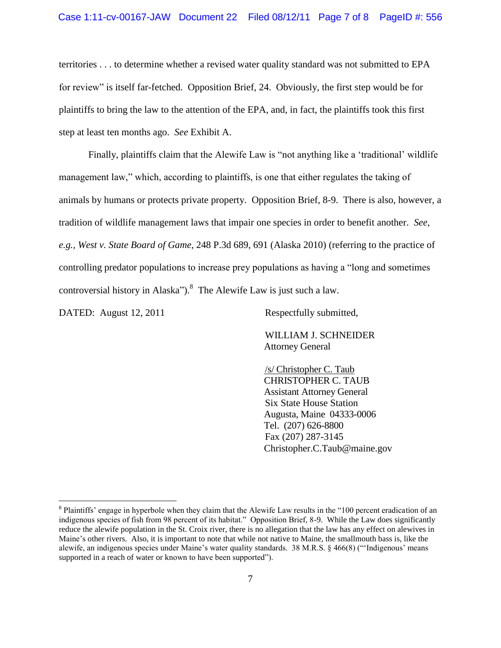#### Case 1:11-cv-00167-JAW Document 22 Filed 08/12/11 Page 7 of 8 PageID #: 556

territories . . . to determine whether a revised water quality standard was not submitted to EPA for review" is itself far-fetched. Opposition Brief, 24. Obviously, the first step would be for plaintiffs to bring the law to the attention of the EPA, and, in fact, the plaintiffs took this first step at least ten months ago. *See* Exhibit A.

Finally, plaintiffs claim that the Alewife Law is "not anything like a 'traditional' wildlife management law," which, according to plaintiffs, is one that either regulates the taking of animals by humans or protects private property. Opposition Brief, 8-9. There is also, however, a tradition of wildlife management laws that impair one species in order to benefit another. *See, e.g., West v. State Board of Game*, 248 P.3d 689, 691 (Alaska 2010) (referring to the practice of controlling predator populations to increase prey populations as having a "long and sometimes controversial history in Alaska").<sup>8</sup> The Alewife Law is just such a law.

DATED: August 12, 2011 Respectfully submitted,

 $\overline{a}$ 

WILLIAM J. SCHNEIDER Attorney General

/s/ Christopher C. Taub CHRISTOPHER C. TAUB Assistant Attorney General Six State House Station Augusta, Maine 04333-0006 Tel. (207) 626-8800 Fax (207) 287-3145 Christopher.C.Taub@maine.gov

 $8$  Plaintiffs' engage in hyperbole when they claim that the Alewife Law results in the "100 percent eradication of an indigenous species of fish from 98 percent of its habitat." Opposition Brief, 8-9. While the Law does significantly reduce the alewife population in the St. Croix river, there is no allegation that the law has any effect on alewives in Maine"s other rivers. Also, it is important to note that while not native to Maine, the smallmouth bass is, like the alewife, an indigenous species under Maine's water quality standards. 38 M.R.S. § 466(8) ("Indigenous' means supported in a reach of water or known to have been supported").